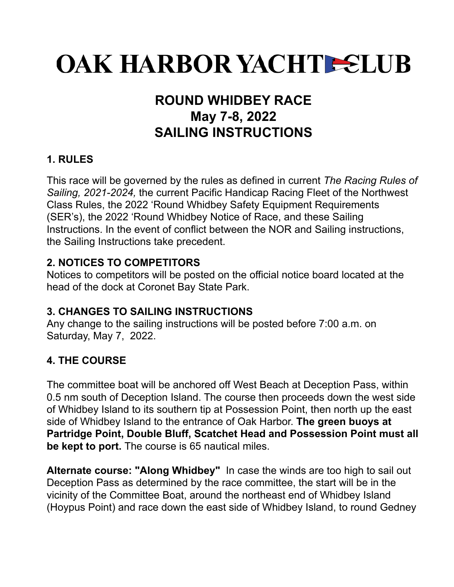# **OAK HARBOR YACHTE ELUB**

### **ROUND WHIDBEY RACE May 7-8, 2022 SAILING INSTRUCTIONS**

#### **1. RULES**

This race will be governed by the rules as defined in current *The Racing Rules of Sailing, 2021-2024,* the current Pacific Handicap Racing Fleet of the Northwest Class Rules, the 2022 'Round Whidbey Safety Equipment Requirements (SER's), the 2022 'Round Whidbey Notice of Race, and these Sailing Instructions. In the event of conflict between the NOR and Sailing instructions, the Sailing Instructions take precedent.

#### **2. NOTICES TO COMPETITORS**

Notices to competitors will be posted on the official notice board located at the head of the dock at Coronet Bay State Park.

#### **3. CHANGES TO SAILING INSTRUCTIONS**

Any change to the sailing instructions will be posted before 7:00 a.m. on Saturday, May 7, 2022.

#### **4. THE COURSE**

The committee boat will be anchored off West Beach at Deception Pass, within 0.5 nm south of Deception Island. The course then proceeds down the west side of Whidbey Island to its southern tip at Possession Point, then north up the east side of Whidbey Island to the entrance of Oak Harbor. **The green buoys at Partridge Point, Double Bluff, Scatchet Head and Possession Point must all be kept to port.** The course is 65 nautical miles.

**Alternate course: "Along Whidbey"** In case the winds are too high to sail out Deception Pass as determined by the race committee, the start will be in the vicinity of the Committee Boat, around the northeast end of Whidbey Island (Hoypus Point) and race down the east side of Whidbey Island, to round Gedney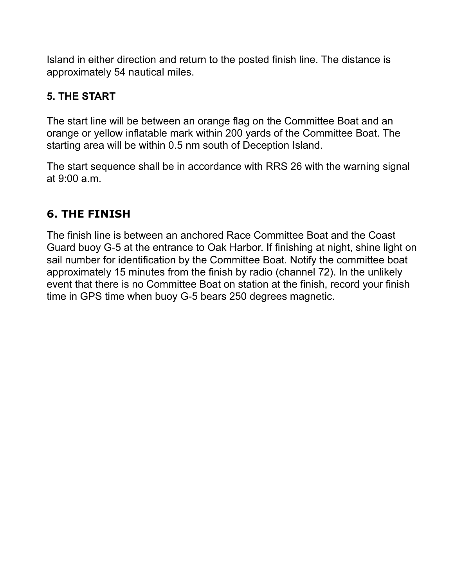Island in either direction and return to the posted finish line. The distance is approximately 54 nautical miles.

#### **5. THE START**

The start line will be between an orange flag on the Committee Boat and an orange or yellow inflatable mark within 200 yards of the Committee Boat. The starting area will be within 0.5 nm south of Deception Island.

The start sequence shall be in accordance with RRS 26 with the warning signal at 9:00 a.m.

#### **6. THE FINISH**

The finish line is between an anchored Race Committee Boat and the Coast Guard buoy G-5 at the entrance to Oak Harbor. If finishing at night, shine light on sail number for identification by the Committee Boat. Notify the committee boat approximately 15 minutes from the finish by radio (channel 72). In the unlikely event that there is no Committee Boat on station at the finish, record your finish time in GPS time when buoy G-5 bears 250 degrees magnetic.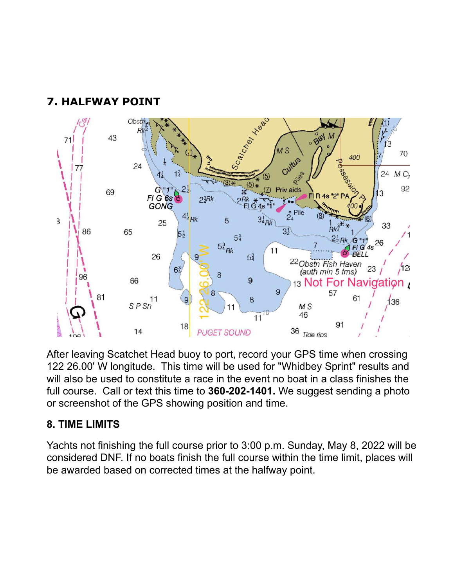

#### **7. HALFWAY POINT**

After leaving Scatchet Head buoy to port, record your GPS time when crossing 122 26.00' W longitude. This time will be used for "Whidbey Sprint" results and will also be used to constitute a race in the event no boat in a class finishes the full course. Call or text this time to **360-202-1401.** We suggest sending a photo or screenshot of the GPS showing position and time.

#### **8. TIME LIMITS**

Yachts not finishing the full course prior to 3:00 p.m. Sunday, May 8, 2022 will be considered DNF. If no boats finish the full course within the time limit, places will be awarded based on corrected times at the halfway point.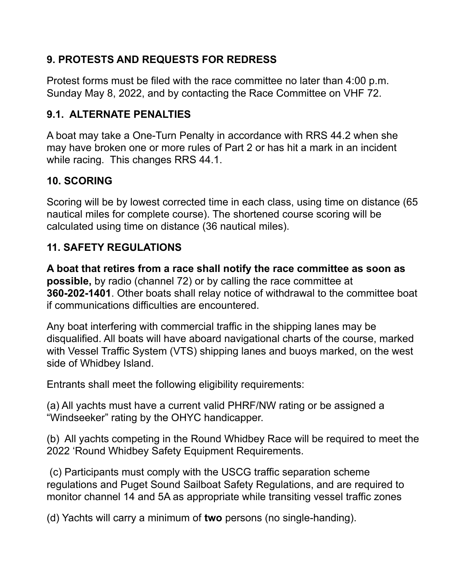#### **9. PROTESTS AND REQUESTS FOR REDRESS**

Protest forms must be filed with the race committee no later than 4:00 p.m. Sunday May 8, 2022, and by contacting the Race Committee on VHF 72.

#### **9.1. ALTERNATE PENALTIES**

A boat may take a One-Turn Penalty in accordance with RRS 44.2 when she may have broken one or more rules of Part 2 or has hit a mark in an incident while racing. This changes RRS 44.1.

#### **10. SCORING**

Scoring will be by lowest corrected time in each class, using time on distance (65 nautical miles for complete course). The shortened course scoring will be calculated using time on distance (36 nautical miles).

#### **11. SAFETY REGULATIONS**

**A boat that retires from a race shall notify the race committee as soon as possible,** by radio (channel 72) or by calling the race committee at **360-202-1401**. Other boats shall relay notice of withdrawal to the committee boat if communications difficulties are encountered.

Any boat interfering with commercial traffic in the shipping lanes may be disqualified. All boats will have aboard navigational charts of the course, marked with Vessel Traffic System (VTS) shipping lanes and buoys marked, on the west side of Whidbey Island.

Entrants shall meet the following eligibility requirements:

(a) All yachts must have a current valid PHRF/NW rating or be assigned a "Windseeker" rating by the OHYC handicapper.

(b) All yachts competing in the Round Whidbey Race will be required to meet the 2022 'Round Whidbey Safety Equipment Requirements.

(c) Participants must comply with the USCG traffic separation scheme regulations and Puget Sound Sailboat Safety Regulations, and are required to monitor channel 14 and 5A as appropriate while transiting vessel traffic zones

(d) Yachts will carry a minimum of **two** persons (no single-handing).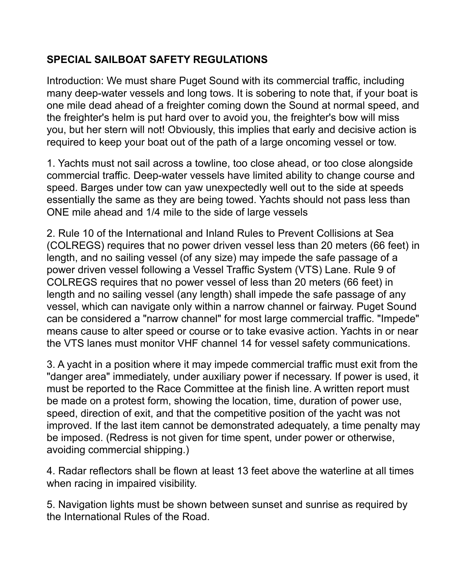#### **SPECIAL SAILBOAT SAFETY REGULATIONS**

Introduction: We must share Puget Sound with its commercial traffic, including many deep-water vessels and long tows. It is sobering to note that, if your boat is one mile dead ahead of a freighter coming down the Sound at normal speed, and the freighter's helm is put hard over to avoid you, the freighter's bow will miss you, but her stern will not! Obviously, this implies that early and decisive action is required to keep your boat out of the path of a large oncoming vessel or tow.

1. Yachts must not sail across a towline, too close ahead, or too close alongside commercial traffic. Deep-water vessels have limited ability to change course and speed. Barges under tow can yaw unexpectedly well out to the side at speeds essentially the same as they are being towed. Yachts should not pass less than ONE mile ahead and 1/4 mile to the side of large vessels

2. Rule 10 of the International and Inland Rules to Prevent Collisions at Sea (COLREGS) requires that no power driven vessel less than 20 meters (66 feet) in length, and no sailing vessel (of any size) may impede the safe passage of a power driven vessel following a Vessel Traffic System (VTS) Lane. Rule 9 of COLREGS requires that no power vessel of less than 20 meters (66 feet) in length and no sailing vessel (any length) shall impede the safe passage of any vessel, which can navigate only within a narrow channel or fairway. Puget Sound can be considered a "narrow channel" for most large commercial traffic. "Impede" means cause to alter speed or course or to take evasive action. Yachts in or near the VTS lanes must monitor VHF channel 14 for vessel safety communications.

3. A yacht in a position where it may impede commercial traffic must exit from the "danger area" immediately, under auxiliary power if necessary. If power is used, it must be reported to the Race Committee at the finish line. A written report must be made on a protest form, showing the location, time, duration of power use, speed, direction of exit, and that the competitive position of the yacht was not improved. If the last item cannot be demonstrated adequately, a time penalty may be imposed. (Redress is not given for time spent, under power or otherwise, avoiding commercial shipping.)

4. Radar reflectors shall be flown at least 13 feet above the waterline at all times when racing in impaired visibility.

5. Navigation lights must be shown between sunset and sunrise as required by the International Rules of the Road.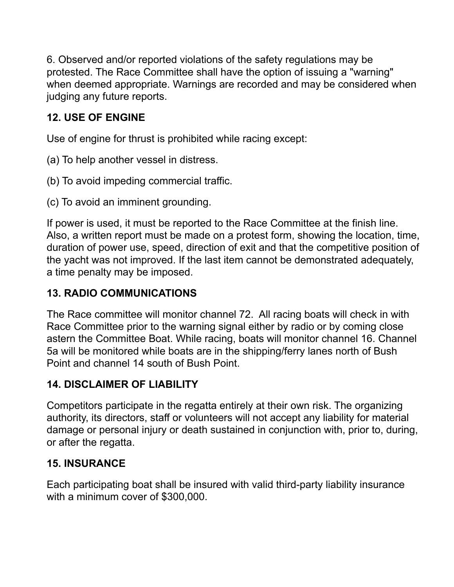6. Observed and/or reported violations of the safety regulations may be protested. The Race Committee shall have the option of issuing a "warning" when deemed appropriate. Warnings are recorded and may be considered when judging any future reports.

#### **12. USE OF ENGINE**

Use of engine for thrust is prohibited while racing except:

- (a) To help another vessel in distress.
- (b) To avoid impeding commercial traffic.
- (c) To avoid an imminent grounding.

If power is used, it must be reported to the Race Committee at the finish line. Also, a written report must be made on a protest form, showing the location, time, duration of power use, speed, direction of exit and that the competitive position of the yacht was not improved. If the last item cannot be demonstrated adequately, a time penalty may be imposed.

#### **13. RADIO COMMUNICATIONS**

The Race committee will monitor channel 72. All racing boats will check in with Race Committee prior to the warning signal either by radio or by coming close astern the Committee Boat. While racing, boats will monitor channel 16. Channel 5a will be monitored while boats are in the shipping/ferry lanes north of Bush Point and channel 14 south of Bush Point.

#### **14. DISCLAIMER OF LIABILITY**

Competitors participate in the regatta entirely at their own risk. The organizing authority, its directors, staff or volunteers will not accept any liability for material damage or personal injury or death sustained in conjunction with, prior to, during, or after the regatta.

#### **15. INSURANCE**

Each participating boat shall be insured with valid third-party liability insurance with a minimum cover of \$300,000.